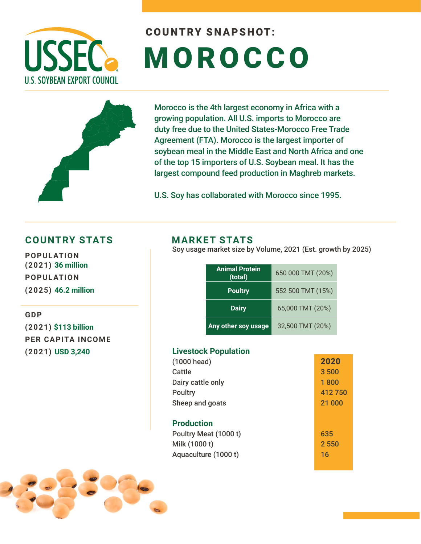

# COUNTRY SNAPSHOT: **MOROCCO**



Morocco is the 4th largest economy in Africa with a growing population. All U.S. imports to Morocco are duty free due to the United States-Morocco Free Trade Agreement (FTA). Morocco is the largest importer of soybean meal in the Middle East and North Africa and one of the top 15 importers of U.S. Soybean meal. It has the largest compound feed production in Maghreb markets.

U.S. Soy has collaborated with Morocco since 1995.

### **COUNTRY STATS MARKET STATS**

**POPULATION (2021) 36 million POPULATION (2025) 46.2 million** 

**GDP** 

**(2021) \$113 billion PER CAPITA INCOME (2021) USD 3,240**

Soy usage market size by Volume, 2021 (Est. growth by 2025)

| <b>Animal Protein</b><br>(total) | 650 000 TMT (20%) |
|----------------------------------|-------------------|
| <b>Poultry</b>                   | 552 500 TMT (15%) |
| <b>Dairy</b>                     | 65,000 TMT (20%)  |
| Any other soy usage              | 32,500 TMT (20%)  |

#### **Livestock Population**

| (1000 head)           | 2020    |
|-----------------------|---------|
| Cattle                | 3 500   |
| Dairy cattle only     | 1800    |
| <b>Poultry</b>        | 412750  |
| Sheep and goats       | 21 000  |
|                       |         |
| <b>Production</b>     |         |
| Poultry Meat (1000 t) | 635     |
| Milk (1000 t)         | 2 5 5 0 |
| Aquaculture (1000 t)  | 16      |
|                       |         |